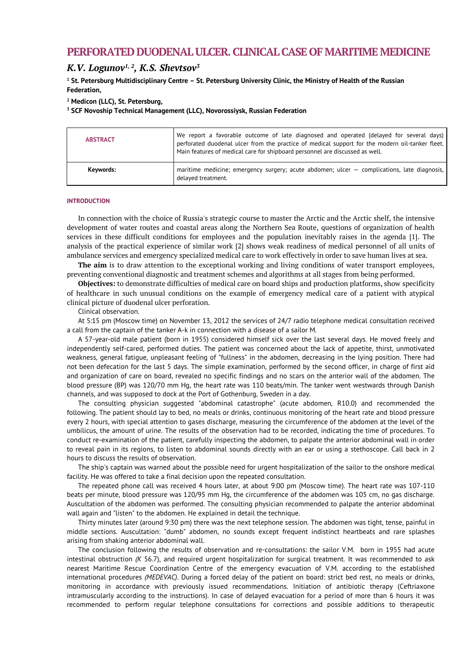# **PERFORATED DUODENAL ULCER. CLINICAL CASE OF MARITIME MEDICINE**

# *K.V. Logunov1, 2, K.S. Shevtsov<sup>3</sup>*

**<sup>1</sup> St. Petersburg Multidisciplinary Centre – St. Petersburg University Clinic, the Ministry of Health of the Russian Federation,** 

**<sup>2</sup> Medicon (LLC), St. Petersburg,** 

**<sup>3</sup> SCF Novoship Technical Management (LLC), Novorossiysk, Russian Federation**

| <b>ABSTRACT</b> | We report a favorable outcome of late diagnosed and operated (delayed for several days)<br>perforated duodenal ulcer from the practice of medical support for the modern oil-tanker fleet.<br>Main features of medical care for shipboard personnel are discussed as well. |
|-----------------|----------------------------------------------------------------------------------------------------------------------------------------------------------------------------------------------------------------------------------------------------------------------------|
| Keywords:       | maritime medicine; emergency surgery; acute abdomen; ulcer $-$ complications, late diagnosis,<br>delayed treatment.                                                                                                                                                        |

## **INTRODUCTION**

In connection with the choice of Russia's strategic course to master the Arctic and the Arctic shelf, the intensive development of water routes and coastal areas along the Northern Sea Route, questions of organization of health services in these difficult conditions for employees and the population inevitably raises in the agenda [1]. The analysis of the practical experience of similar work [2] shows weak readiness of medical personnel of all units of ambulance services and emergency specialized medical care to work effectively in order to save human lives at sea.

**The aim** is to draw attention to the exceptional working and living conditions of water transport employees, preventing conventional diagnostic and treatment schemes and algorithms at all stages from being performed.

**Objectives:** to demonstrate difficulties of medical care on board ships and production platforms, show specificity of healthcare in such unusual conditions on the example of emergency medical care of a patient with atypical clinical picture of duodenal ulcer perforation.

Clinical observation.

At 5:15 pm (Moscow time) on November 13, 2012 the services of 24/7 radio telephone medical consultation received a call from the captain of the tanker A-k in connection with a disease of a sailor M.

A 57-year-old male patient (born in 1955) considered himself sick over the last several days. He moved freely and independently self-cared, performed duties. The patient was concerned about the lack of appetite, thirst, unmotivated weakness, general fatigue, unpleasant feeling of "fullness" in the abdomen, decreasing in the lying position. There had not been defecation for the last 5 days. The simple examination, performed by the second officer, in charge of first aid and organization of care on board, revealed no specific findings and no scars on the anterior wall of the abdomen. The blood pressure (BP) was 120/70 mm Hg, the heart rate was 110 beats/min. The tanker went westwards through Danish channels, and was supposed to dock at the Port of Gothenburg, Sweden in a day.

The consulting physician suggested "abdominal catastrophe" (acute abdomen*,* R10.0) and recommended the following. The patient should lay to bed, no meals or drinks, continuous monitoring of the heart rate and blood pressure every 2 hours, with special attention to gases discharge, measuring the circumference of the abdomen at the level of the umbilicus, the amount of urine. The results of the observation had to be recorded, indicating the time of procedures. To conduct re-examination of the patient, carefully inspecting the abdomen, to palpate the anterior abdominal wall in order to reveal pain in its regions, to listen to abdominal sounds directly with an ear or using a stethoscope. Call back in 2 hours to discuss the results of observation.

The ship's captain was warned about the possible need for urgent hospitalization of the sailor to the onshore medical facility. He was offered to take a final decision upon the repeated consultation.

The repeated phone call was received 4 hours later, at about 9:00 pm (Moscow time). The heart rate was 107-110 beats per minute, blood pressure was 120/95 mm Hg, the circumference of the abdomen was 105 cm, no gas discharge. Auscultation of the abdomen was performed. The consulting physician recommended to palpate the anterior abdominal wall again and "listen" to the abdomen. He explained in detail the technique.

Thirty minutes later (around 9:30 pm) there was the next telephone session. The abdomen was tight, tense, painful in middle sections. Auscultation: "dumb" abdomen, no sounds except frequent indistinct heartbeats and rare splashes arising from shaking anterior abdominal wall.

The conclusion following the results of observation and re-consultations: the sailor V.M. born in 1955 had acute intestinal obstruction *(K* 56.7), and required urgent hospitalization for surgical treatment. It was recommended to ask nearest Maritime Rescue Coordination Centre of the emergency evacuation of V.M. according to the established international procedures *(MEDEVAC).* During a forced delay of the patient on board: strict bed rest, no meals or drinks, monitoring in accordance with previously issued recommendations. Initiation of antibiotic therapy (Ceftriaxone intramuscularly according to the instructions). In case of delayed evacuation for a period of more than 6 hours it was recommended to perform regular telephone consultations for corrections and possible additions to therapeutic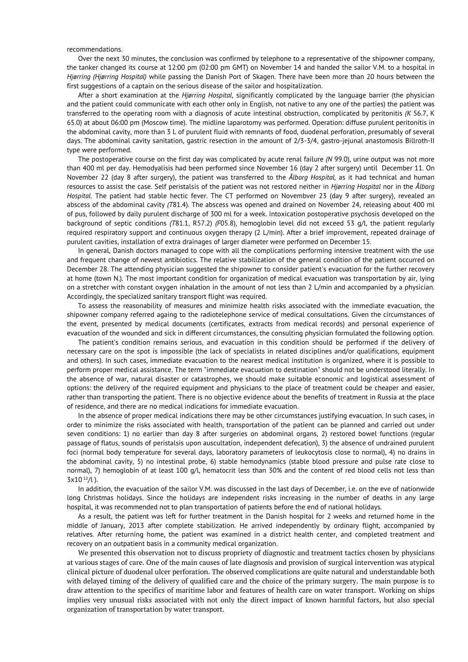#### recommendations.

Over the next 30 minutes, the conclusion was confirmed by telephone to a representative of the shipowner company, the tanker changed its course at 12:00 pm (02:00 pm GMT) on November 14 and handed the sailor V.M. to a hospital in *Hjørring (Hjørring Hospital)* while passing the Danish Port of Skagen*.* There have been more than 20 hours between the first suggestions of a captain on the serious disease of the sailor and hospitalization.

After a short examination at the *Hjørring Hospital*, significantly complicated by the language barrier (the physician and the patient could communicate with each other only in English, not native to any one of the parties) the patient was transferred to the operating room with a diagnosis of acute intestinal obstruction, complicated by peritonitis *(K* 56.7, K 65.0) at about 06:00 pm (Moscow time). The midline laparotomy was performed. Operation: diffuse purulent peritonitis in the abdominal cavity, more than 3 L of purulent fluid with remnants of food, duodenal perforation, presumably of several days. The abdominal cavity sanitation, gastric resection in the amount of 2/3-3/4, gastro-jejunal anastomosis Billroth-II type were performed.

The postoperative course on the first day was complicated by acute renal failure *(N* 99.0), urine output was not more than 400 ml per day. Hemodyalisis had been performed since November 16 (day 2 after surgery) until December 11. On November 22 (day 8 after surgery), the patient was transferred to the *Ålborg Hospital,* as it had technical and human resources to assist the case. Self peristalsis of the patient was not restored neither in *Hjørring Hospital* nor in the *Ålborg Hospital*. The patient had stable hectic fever. The CT performed on Novembver 23 (day 9 after surgery), revealed an abscess of the abdominal cavity *(T*81.4). The abscess was opened and drained on November 24, releasing about 400 ml of pus, followed by daily purulent discharge of 300 ml for a week. Intoxication postoperative psychosis developed on the background of septic conditions *(T*81.1, R57.2) *(F*05.8), hemoglobin level did not exceed 53 g/l, the patient regularly required respiratory support and continuous oxygen therapy (2 L/min). After a brief improvement, repeated drainage of purulent cavities, installation of extra drainages of larger diameter were performed on December 15.

In general, Danish doctors managed to cope with all the complications performing intensive treatment with the use and frequent change of newest antibiotics. The relative stabilization of the general condition of the patient occurred on December 28. The attending physician suggested the shipowner to consider patient's evacuation for the further recovery at home (town N.). The most important condition for organization of medical evacuation was transportation by air, lying on a stretcher with constant oxygen inhalation in the amount of not less than 2 L/min and accompanied by a physician. Accordingly, the specialized sanitary transport flight was required.

To assess the reasonability of measures and minimize health risks associated with the immediate evacuation, the shipowner company referred againg to the radiotelephone service of medical consultations. Given the circumstances of the event, presented by medical documents (certificates, extracts from medical records) and personal experience of evacuation of the wounded and sick in different circumstances, the consulting physician formulated the following option.

The patient's condition remains serious, and evacuation in this condition should be performed if the delivery of necessary care on the spot is impossible (the lack of specialists in related disciplines and/or qualifications, equipment and others). In such cases, immediate evacuation to the nearest medical institution is organized, where it is possible to perform proper medical assistance. The term "immediate evacuation to destination" should not be understood literally. In the absence of war, natural disaster or catastrophes, we should make suitable economic and logistical assessment of options: the delivery of the required equipment and physicians to the place of treatment could be cheaper and easier, rather than transporting the patient. There is no objective evidence about the benefits of treatment in Russia at the place of residence, and there are no medical indications for immediate evacuation.

In the absence of proper medical indications there may be other circumstances justifying evacuation. In such cases, in order to minimize the risks associated with health, transportation of the patient can be planned and carried out under seven conditions: 1) no earlier than day 8 after surgeries on abdominal organs, 2) restored bowel functions (regular passage of flatus, sounds of peristalsis upon auscultation, independent defecation), 3) the absence of undrained purulent foci (normal body temperature for several days, laboratory parameters of leukocytosis close to normal), 4) no drains in the abdominal cavity, 5) no intestinal probe, 6) stable hemodynamics (stable blood pressure and pulse rate close to normal), 7) hemoglobin of at least 100 g/l, hematocrit less than 30% and the content of red blood cells not less than  $3x10^{12}/l$ ).

In addition, the evacuation of the sailor V.M. was discussed in the last days of December, i.e. on the eve of nationwide long Christmas holidays. Since the holidays are independent risks increasing in the number of deaths in any large hospital, it was recommended not to plan transportation of patients before the end of national holidays.

As a result, the patient was left for further treatment in the Danish hospital for 2 weeks and returned home in the middle of January, 2013 after complete stabilization. He arrived independently by ordinary flight, accompanied by relatives. After returning home, the patient was examined in a district health center, and completed treatment and recovery on an outpatient basis in a community medical organization.

We presented this observation not to discuss propriety of diagnostic and treatment tactics chosen by physicians at various stages of care. One of the main causes of late diagnosis and provision of surgical intervention was atypical clinical picture of duodenal ulcer perforation. The observed complications are quite natural and understandable both with delayed timing of the delivery of qualified care and the choice of the primary surgery. The main purpose is to draw attention to the specifics of maritime labor and features of health care on water transport. Working on ships implies very unusual risks associated with not only the direct impact of known harmful factors, but also special organization of transportation by water transport.